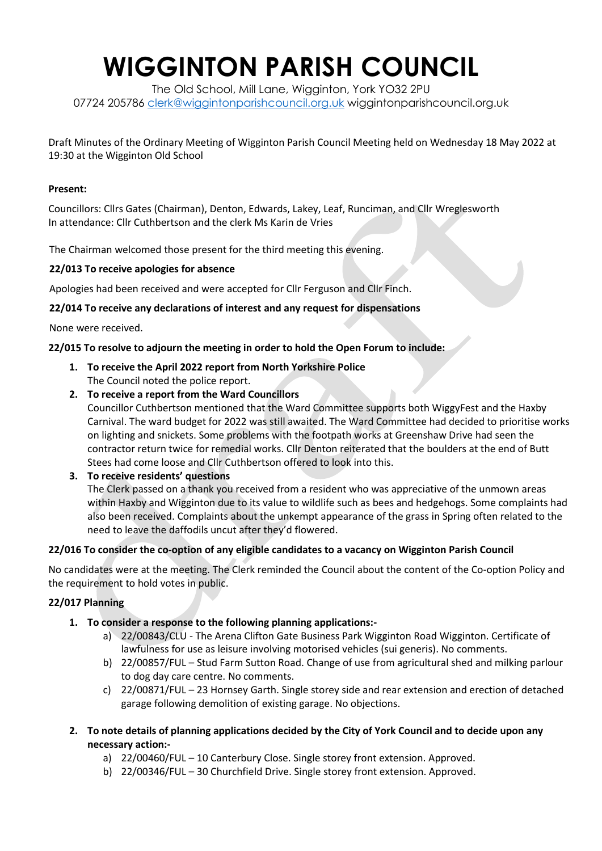# **WIGGINTON PARISH COUNCIL**

The Old School, Mill Lane, Wigginton, York YO32 2PU 07724 205786 [clerk@wiggintonparishcouncil.org.uk](mailto:clerk@wiggintonparishcouncil.org.uk) wiggintonparishcouncil.org.uk

Draft Minutes of the Ordinary Meeting of Wigginton Parish Council Meeting held on Wednesday 18 May 2022 at 19:30 at the Wigginton Old School

#### **Present:**

Councillors: Cllrs Gates (Chairman), Denton, Edwards, Lakey, Leaf, Runciman, and Cllr Wreglesworth In attendance: Cllr Cuthbertson and the clerk Ms Karin de Vries

The Chairman welcomed those present for the third meeting this evening.

#### **22/013 To receive apologies for absence**

Apologies had been received and were accepted for Cllr Ferguson and Cllr Finch.

#### **22/014 To receive any declarations of interest and any request for dispensations**

None were received.

#### **22/015 To resolve to adjourn the meeting in order to hold the Open Forum to include:**

- **1. To receive the April 2022 report from North Yorkshire Police** The Council noted the police report.
- **2. To receive a report from the Ward Councillors**

Councillor Cuthbertson mentioned that the Ward Committee supports both WiggyFest and the Haxby Carnival. The ward budget for 2022 was still awaited. The Ward Committee had decided to prioritise works on lighting and snickets. Some problems with the footpath works at Greenshaw Drive had seen the contractor return twice for remedial works. Cllr Denton reiterated that the boulders at the end of Butt Stees had come loose and Cllr Cuthbertson offered to look into this.

### **3. To receive residents' questions**

The Clerk passed on a thank you received from a resident who was appreciative of the unmown areas within Haxby and Wigginton due to its value to wildlife such as bees and hedgehogs. Some complaints had also been received. Complaints about the unkempt appearance of the grass in Spring often related to the need to leave the daffodils uncut after they'd flowered.

#### **22/016 To consider the co-option of any eligible candidates to a vacancy on Wigginton Parish Council**

No candidates were at the meeting. The Clerk reminded the Council about the content of the Co-option Policy and the requirement to hold votes in public.

### **22/017 Planning**

- **1. To consider a response to the following planning applications:**
	- a) 22/00843/CLU The Arena Clifton Gate Business Park Wigginton Road Wigginton. Certificate of lawfulness for use as leisure involving motorised vehicles (sui generis). No comments.
	- b) 22/00857/FUL Stud Farm Sutton Road. Change of use from agricultural shed and milking parlour to dog day care centre. No comments.
	- c) 22/00871/FUL 23 Hornsey Garth. Single storey side and rear extension and erection of detached garage following demolition of existing garage. No objections.
- **2. To note details of planning applications decided by the City of York Council and to decide upon any necessary action:**
	- a) 22/00460/FUL 10 Canterbury Close. Single storey front extension. Approved.
	- b) 22/00346/FUL 30 Churchfield Drive. Single storey front extension. Approved.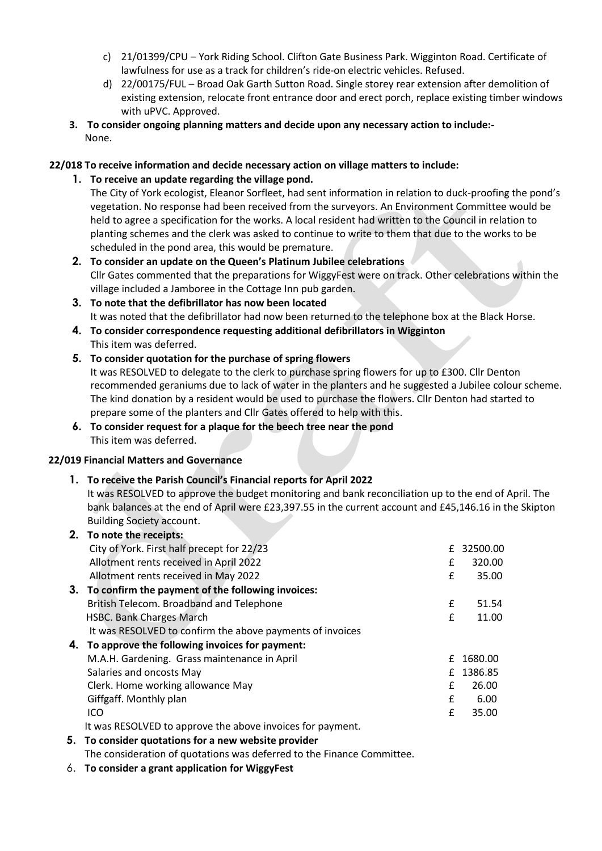- c) 21/01399/CPU York Riding School. Clifton Gate Business Park. Wigginton Road. Certificate of lawfulness for use as a track for children's ride-on electric vehicles. Refused.
- d) 22/00175/FUL Broad Oak Garth Sutton Road. Single storey rear extension after demolition of existing extension, relocate front entrance door and erect porch, replace existing timber windows with uPVC. Approved.
- **3. To consider ongoing planning matters and decide upon any necessary action to include:-** None.

## **22/018 To receive information and decide necessary action on village matters to include:**

**1. To receive an update regarding the village pond.**

The City of York ecologist, Eleanor Sorfleet, had sent information in relation to duck-proofing the pond's vegetation. No response had been received from the surveyors. An Environment Committee would be held to agree a specification for the works. A local resident had written to the Council in relation to planting schemes and the clerk was asked to continue to write to them that due to the works to be scheduled in the pond area, this would be premature.

- **2. To consider an update on the Queen's Platinum Jubilee celebrations** Cllr Gates commented that the preparations for WiggyFest were on track. Other celebrations within the village included a Jamboree in the Cottage Inn pub garden.
- **3. To note that the defibrillator has now been located** It was noted that the defibrillator had now been returned to the telephone box at the Black Horse.
- **4. To consider correspondence requesting additional defibrillators in Wigginton** This item was deferred.
- **5. To consider quotation for the purchase of spring flowers** It was RESOLVED to delegate to the clerk to purchase spring flowers for up to £300. Cllr Denton recommended geraniums due to lack of water in the planters and he suggested a Jubilee colour scheme. The kind donation by a resident would be used to purchase the flowers. Cllr Denton had started to prepare some of the planters and Cllr Gates offered to help with this.
- **6. To consider request for a plaque for the beech tree near the pond** This item was deferred.

### **22/019 Financial Matters and Governance**

## **1. To receive the Parish Council's Financial reports for April 2022**

It was RESOLVED to approve the budget monitoring and bank reconciliation up to the end of April. The bank balances at the end of April were £23,397.55 in the current account and £45,146.16 in the Skipton Building Society account.

|  | 2. To note the receipts:                                   |   |            |
|--|------------------------------------------------------------|---|------------|
|  | City of York. First half precept for 22/23                 |   | £ 32500.00 |
|  | Allotment rents received in April 2022                     | £ | 320.00     |
|  | Allotment rents received in May 2022                       | £ | 35.00      |
|  | 3. To confirm the payment of the following invoices:       |   |            |
|  | British Telecom. Broadband and Telephone                   | £ | 51.54      |
|  | <b>HSBC. Bank Charges March</b>                            | £ | 11.00      |
|  | It was RESOLVED to confirm the above payments of invoices  |   |            |
|  | 4. To approve the following invoices for payment:          |   |            |
|  | M.A.H. Gardening. Grass maintenance in April               | f | 1680.00    |
|  | Salaries and oncosts May                                   |   | £ 1386.85  |
|  | Clerk. Home working allowance May                          | £ | 26.00      |
|  | Giffgaff. Monthly plan                                     | £ | 6.00       |
|  | ICO                                                        | £ | 35.00      |
|  | It was RESOLVED to approve the above invoices for payment. |   |            |
|  |                                                            |   |            |

- **5. To consider quotations for a new website provider** The consideration of quotations was deferred to the Finance Committee.
- 6. **To consider a grant application for WiggyFest**